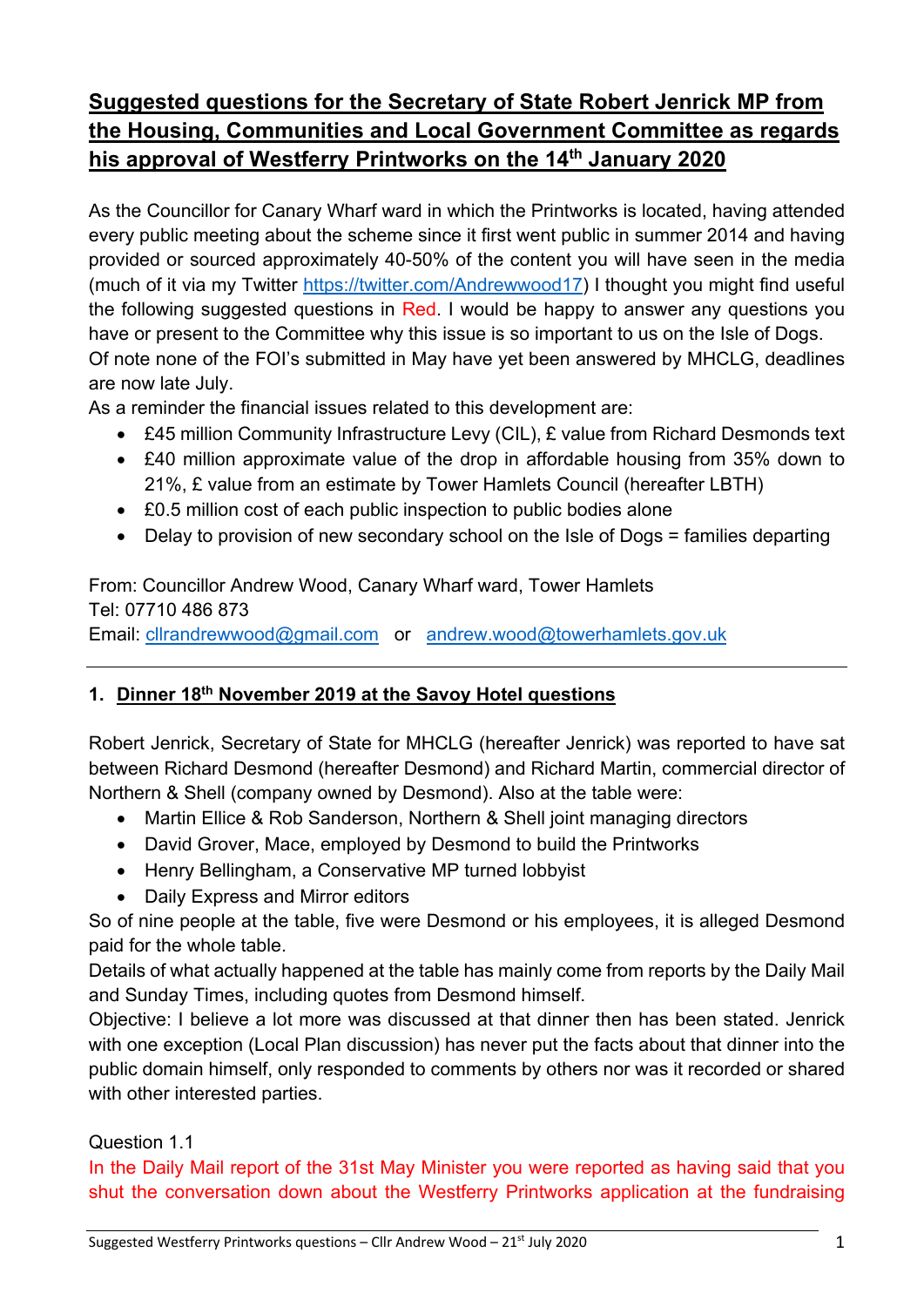# **Suggested questions for the Secretary of State Robert Jenrick MP from the Housing, Communities and Local Government Committee as regards his approval of Westferry Printworks on the 14th January 2020**

As the Councillor for Canary Wharf ward in which the Printworks is located, having attended every public meeting about the scheme since it first went public in summer 2014 and having provided or sourced approximately 40-50% of the content you will have seen in the media (much of it via my Twitter https://twitter.com/Andrewwood17) I thought you might find useful the following suggested questions in Red. I would be happy to answer any questions you have or present to the Committee why this issue is so important to us on the Isle of Dogs. Of note none of the FOI's submitted in May have yet been answered by MHCLG, deadlines are now late July.

As a reminder the financial issues related to this development are:

- £45 million Community Infrastructure Levy (CIL), £ value from Richard Desmonds text
- £40 million approximate value of the drop in affordable housing from 35% down to 21%, £ value from an estimate by Tower Hamlets Council (hereafter LBTH)
- £0.5 million cost of each public inspection to public bodies alone
- Delay to provision of new secondary school on the Isle of Dogs = families departing

From: Councillor Andrew Wood, Canary Wharf ward, Tower Hamlets Tel: 07710 486 873 Email: cllrandrewwood@gmail.com or andrew.wood@towerhamlets.gov.uk

# **1. Dinner 18th November 2019 at the Savoy Hotel questions**

Robert Jenrick, Secretary of State for MHCLG (hereafter Jenrick) was reported to have sat between Richard Desmond (hereafter Desmond) and Richard Martin, commercial director of Northern & Shell (company owned by Desmond). Also at the table were:

- Martin Ellice & Rob Sanderson, Northern & Shell joint managing directors
- David Grover, Mace, employed by Desmond to build the Printworks
- Henry Bellingham, a Conservative MP turned lobbyist
- Daily Express and Mirror editors

So of nine people at the table, five were Desmond or his employees, it is alleged Desmond paid for the whole table.

Details of what actually happened at the table has mainly come from reports by the Daily Mail and Sunday Times, including quotes from Desmond himself.

Objective: I believe a lot more was discussed at that dinner then has been stated. Jenrick with one exception (Local Plan discussion) has never put the facts about that dinner into the public domain himself, only responded to comments by others nor was it recorded or shared with other interested parties.

## Question 1.1

In the Daily Mail report of the 31st May Minister you were reported as having said that you shut the conversation down about the Westferry Printworks application at the fundraising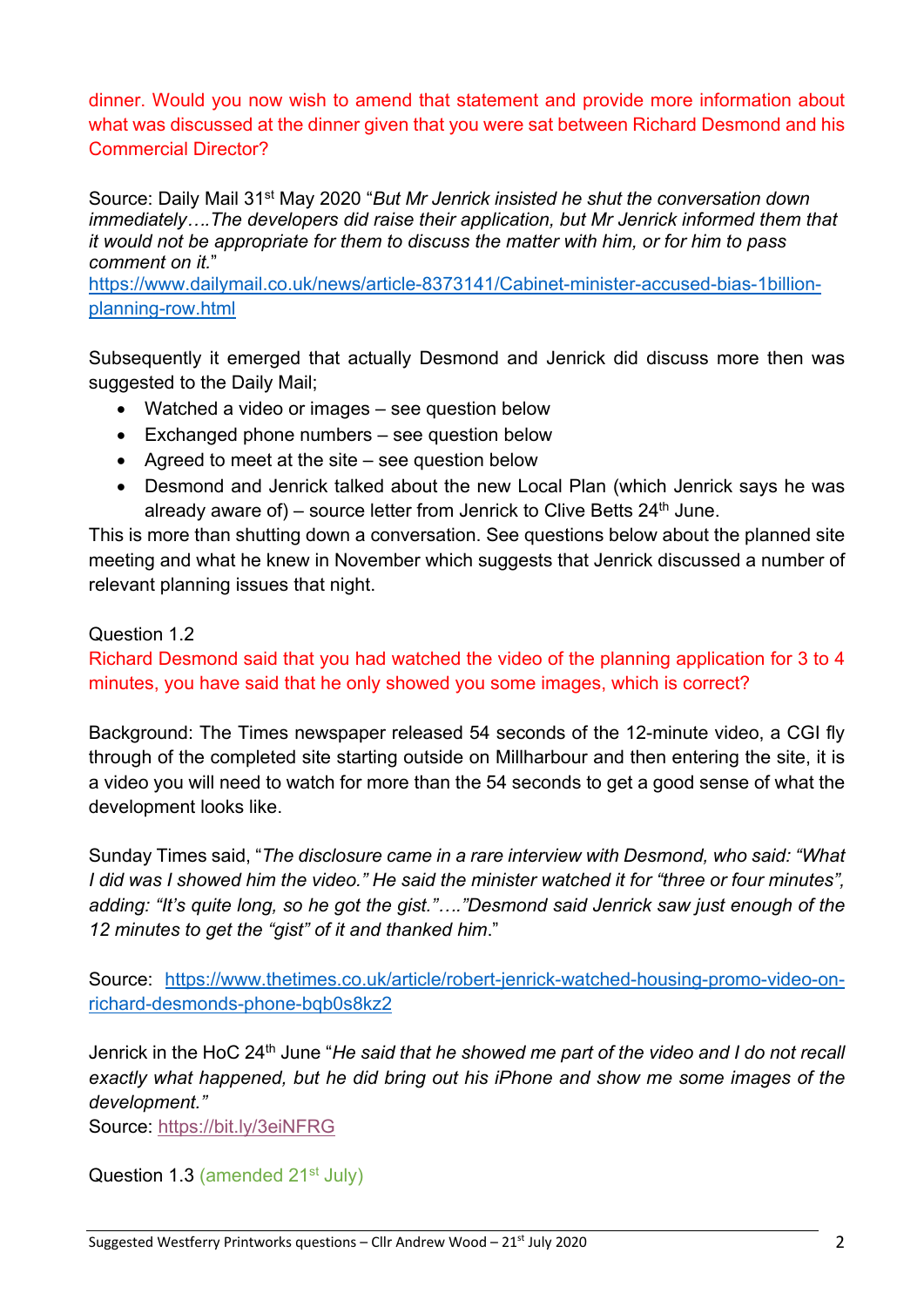dinner. Would you now wish to amend that statement and provide more information about what was discussed at the dinner given that you were sat between Richard Desmond and his Commercial Director?

Source: Daily Mail 31st May 2020 "*But Mr Jenrick insisted he shut the conversation down immediately….The developers did raise their application, but Mr Jenrick informed them that it would not be appropriate for them to discuss the matter with him, or for him to pass comment on it.*"

https://www.dailymail.co.uk/news/article-8373141/Cabinet-minister-accused-bias-1billionplanning-row.html

Subsequently it emerged that actually Desmond and Jenrick did discuss more then was suggested to the Daily Mail;

- Watched a video or images see question below
- Exchanged phone numbers see question below
- Agreed to meet at the site see question below
- Desmond and Jenrick talked about the new Local Plan (which Jenrick says he was already aware of) – source letter from Jenrick to Clive Betts  $24<sup>th</sup>$  June.

This is more than shutting down a conversation. See questions below about the planned site meeting and what he knew in November which suggests that Jenrick discussed a number of relevant planning issues that night.

## Question 1.2

Richard Desmond said that you had watched the video of the planning application for 3 to 4 minutes, you have said that he only showed you some images, which is correct?

Background: The Times newspaper released 54 seconds of the 12-minute video, a CGI fly through of the completed site starting outside on Millharbour and then entering the site, it is a video you will need to watch for more than the 54 seconds to get a good sense of what the development looks like.

Sunday Times said, "*The disclosure came in a rare interview with Desmond, who said: "What I did was I showed him the video." He said the minister watched it for "three or four minutes", adding: "It's quite long, so he got the gist."…."Desmond said Jenrick saw just enough of the 12 minutes to get the "gist" of it and thanked him*."

Source: https://www.thetimes.co.uk/article/robert-jenrick-watched-housing-promo-video-onrichard-desmonds-phone-bqb0s8kz2

Jenrick in the HoC 24th June "*He said that he showed me part of the video and I do not recall exactly what happened, but he did bring out his iPhone and show me some images of the development."*

Source: https://bit.ly/3eiNFRG

Question 1.3 (amended 21<sup>st</sup> July)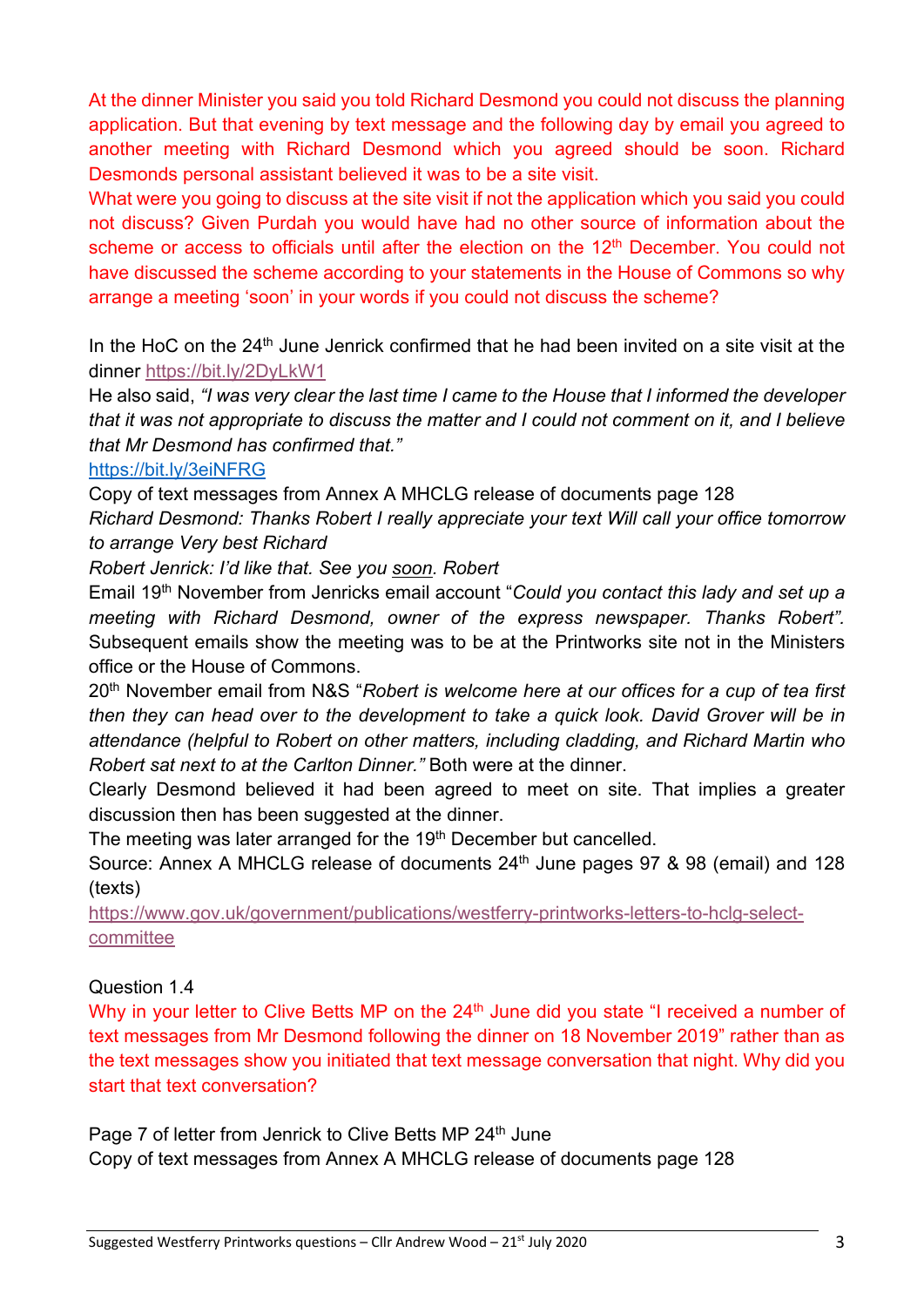At the dinner Minister you said you told Richard Desmond you could not discuss the planning application. But that evening by text message and the following day by email you agreed to another meeting with Richard Desmond which you agreed should be soon. Richard Desmonds personal assistant believed it was to be a site visit.

What were you going to discuss at the site visit if not the application which you said you could not discuss? Given Purdah you would have had no other source of information about the scheme or access to officials until after the election on the 12<sup>th</sup> December. You could not have discussed the scheme according to your statements in the House of Commons so why arrange a meeting 'soon' in your words if you could not discuss the scheme?

In the HoC on the  $24<sup>th</sup>$  June Jenrick confirmed that he had been invited on a site visit at the dinner https://bit.ly/2DyLkW1

He also said, *"I was very clear the last time I came to the House that I informed the developer that it was not appropriate to discuss the matter and I could not comment on it, and I believe that Mr Desmond has confirmed that."*

## https://bit.ly/3eiNFRG

Copy of text messages from Annex A MHCLG release of documents page 128

*Richard Desmond: Thanks Robert I really appreciate your text Will call your office tomorrow to arrange Very best Richard* 

*Robert Jenrick: I'd like that. See you soon. Robert* 

Email 19th November from Jenricks email account "*Could you contact this lady and set up a meeting with Richard Desmond, owner of the express newspaper. Thanks Robert".*  Subsequent emails show the meeting was to be at the Printworks site not in the Ministers office or the House of Commons.

20th November email from N&S "*Robert is welcome here at our offices for a cup of tea first then they can head over to the development to take a quick look. David Grover will be in attendance (helpful to Robert on other matters, including cladding, and Richard Martin who Robert sat next to at the Carlton Dinner."* Both were at the dinner.

Clearly Desmond believed it had been agreed to meet on site. That implies a greater discussion then has been suggested at the dinner.

The meeting was later arranged for the 19<sup>th</sup> December but cancelled.

Source: Annex A MHCLG release of documents 24<sup>th</sup> June pages 97 & 98 (email) and 128 (texts)

https://www.gov.uk/government/publications/westferry-printworks-letters-to-hclg-selectcommittee

Question 1.4

Why in your letter to Clive Betts MP on the 24<sup>th</sup> June did you state "I received a number of text messages from Mr Desmond following the dinner on 18 November 2019" rather than as the text messages show you initiated that text message conversation that night. Why did you start that text conversation?

Page 7 of letter from Jenrick to Clive Betts MP 24<sup>th</sup> June Copy of text messages from Annex A MHCLG release of documents page 128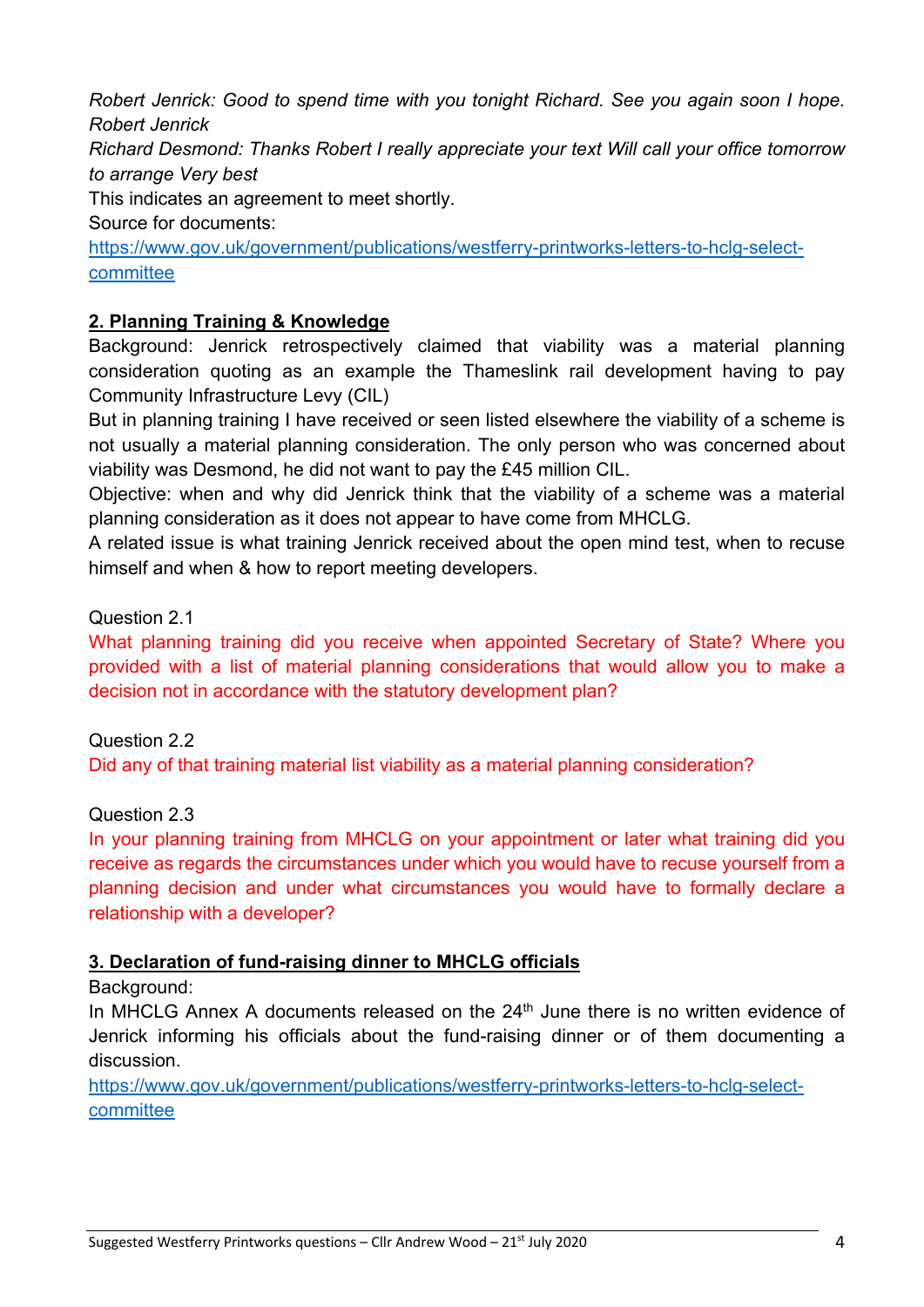*Robert Jenrick: Good to spend time with you tonight Richard. See you again soon I hope. Robert Jenrick*

*Richard Desmond: Thanks Robert I really appreciate your text Will call your office tomorrow to arrange Very best*

This indicates an agreement to meet shortly.

Source for documents:

https://www.gov.uk/government/publications/westferry-printworks-letters-to-hclg-selectcommittee

## **2. Planning Training & Knowledge**

Background: Jenrick retrospectively claimed that viability was a material planning consideration quoting as an example the Thameslink rail development having to pay Community Infrastructure Levy (CIL)

But in planning training I have received or seen listed elsewhere the viability of a scheme is not usually a material planning consideration. The only person who was concerned about viability was Desmond, he did not want to pay the £45 million CIL.

Objective: when and why did Jenrick think that the viability of a scheme was a material planning consideration as it does not appear to have come from MHCLG.

A related issue is what training Jenrick received about the open mind test, when to recuse himself and when & how to report meeting developers.

Question 2.1

What planning training did you receive when appointed Secretary of State? Where you provided with a list of material planning considerations that would allow you to make a decision not in accordance with the statutory development plan?

Question 2.2

Did any of that training material list viability as a material planning consideration?

Question 2.3

In your planning training from MHCLG on your appointment or later what training did you receive as regards the circumstances under which you would have to recuse yourself from a planning decision and under what circumstances you would have to formally declare a relationship with a developer?

## **3. Declaration of fund-raising dinner to MHCLG officials**

Background:

In MHCLG Annex A documents released on the 24<sup>th</sup> June there is no written evidence of Jenrick informing his officials about the fund-raising dinner or of them documenting a discussion.

https://www.gov.uk/government/publications/westferry-printworks-letters-to-hclg-selectcommittee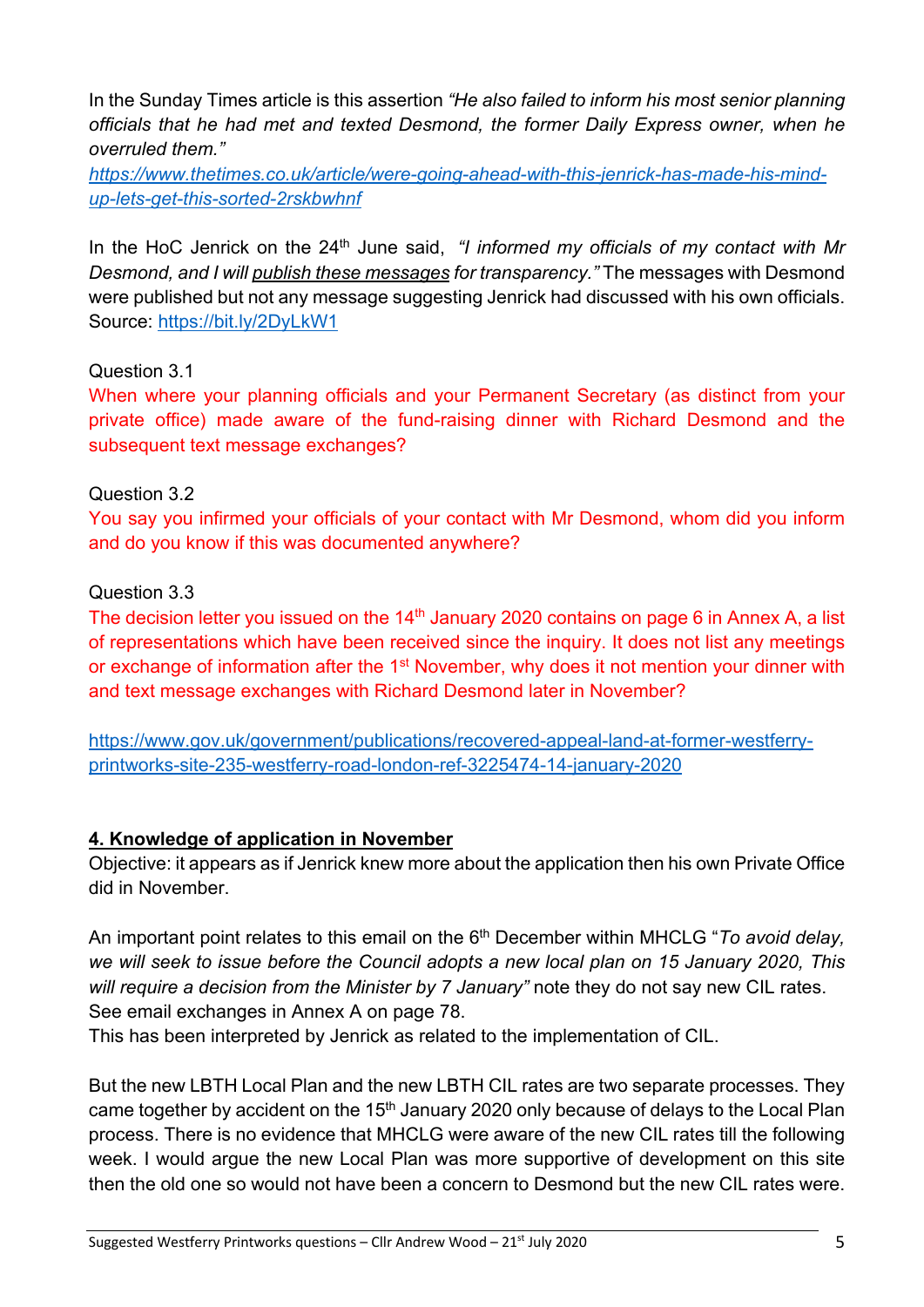In the Sunday Times article is this assertion *"He also failed to inform his most senior planning officials that he had met and texted Desmond, the former Daily Express owner, when he overruled them."*

*https://www.thetimes.co.uk/article/were-going-ahead-with-this-jenrick-has-made-his-mindup-lets-get-this-sorted-2rskbwhnf*

In the HoC Jenrick on the 24<sup>th</sup> June said, *"I informed my officials of my contact with Mr Desmond, and I will publish these messages for transparency."* The messages with Desmond were published but not any message suggesting Jenrick had discussed with his own officials. Source: https://bit.ly/2DyLkW1

## Question 3.1

When where your planning officials and your Permanent Secretary (as distinct from your private office) made aware of the fund-raising dinner with Richard Desmond and the subsequent text message exchanges?

## Question 3.2

You say you infirmed your officials of your contact with Mr Desmond, whom did you inform and do you know if this was documented anywhere?

## Question 3.3

The decision letter you issued on the  $14<sup>th</sup>$  January 2020 contains on page 6 in Annex A, a list of representations which have been received since the inquiry. It does not list any meetings or exchange of information after the 1<sup>st</sup> November, why does it not mention your dinner with and text message exchanges with Richard Desmond later in November?

https://www.gov.uk/government/publications/recovered-appeal-land-at-former-westferryprintworks-site-235-westferry-road-london-ref-3225474-14-january-2020

# **4. Knowledge of application in November**

Objective: it appears as if Jenrick knew more about the application then his own Private Office did in November.

An important point relates to this email on the 6<sup>th</sup> December within MHCLG "*To avoid delay*, *we will seek to issue before the Council adopts a new local plan on 15 January 2020, This will require a decision from the Minister by 7 January"* note they do not say new CIL rates. See email exchanges in Annex A on page 78.

This has been interpreted by Jenrick as related to the implementation of CIL.

But the new LBTH Local Plan and the new LBTH CIL rates are two separate processes. They came together by accident on the 15<sup>th</sup> January 2020 only because of delays to the Local Plan process. There is no evidence that MHCLG were aware of the new CIL rates till the following week. I would argue the new Local Plan was more supportive of development on this site then the old one so would not have been a concern to Desmond but the new CIL rates were.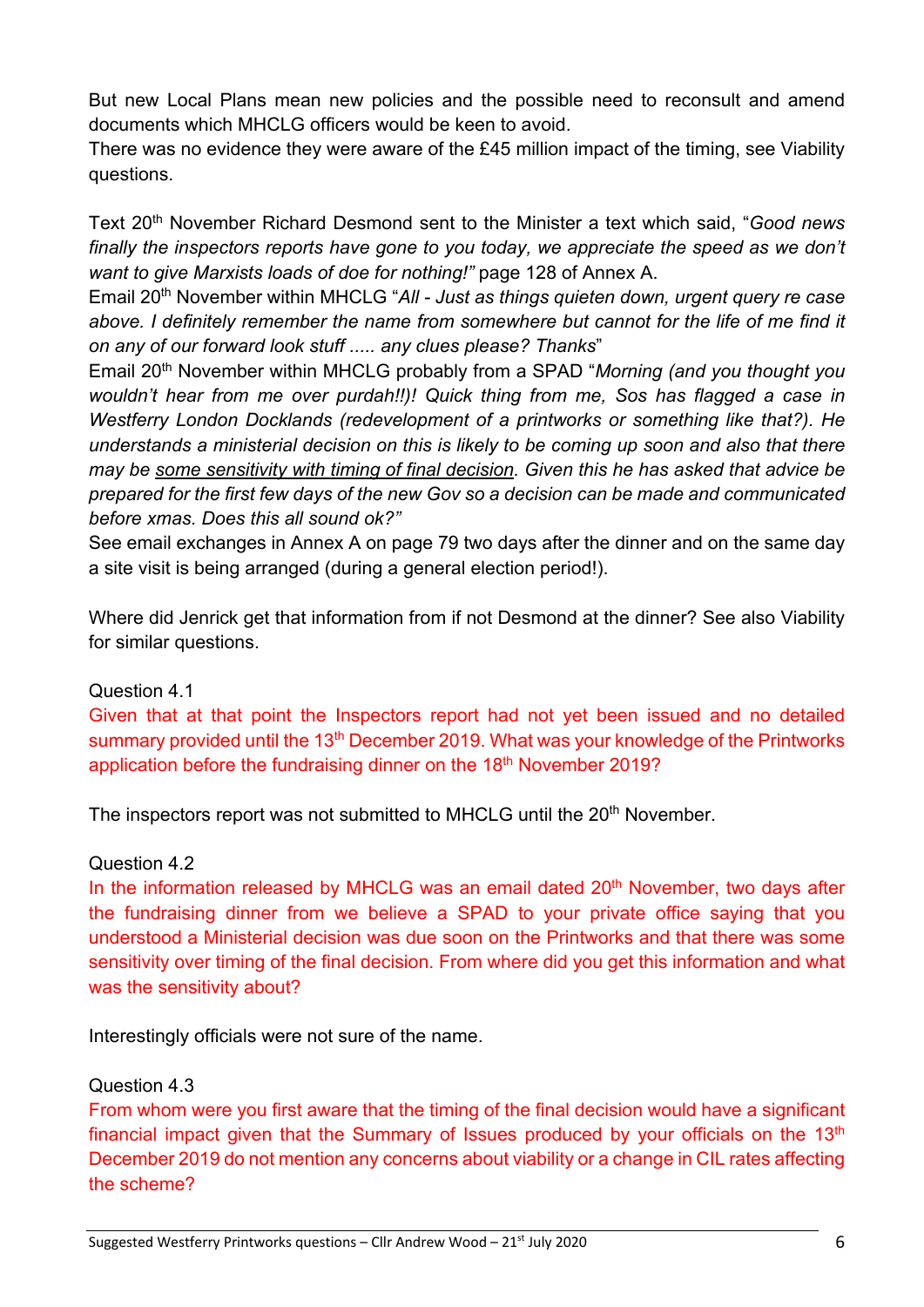But new Local Plans mean new policies and the possible need to reconsult and amend documents which MHCLG officers would be keen to avoid.

There was no evidence they were aware of the £45 million impact of the timing, see Viability questions.

Text 20th November Richard Desmond sent to the Minister a text which said, "*Good news finally the inspectors reports have gone to you today, we appreciate the speed as we don't want to give Marxists loads of doe for nothing!"* page 128 of Annex A.

Email 20th November within MHCLG "*All - Just as things quieten down, urgent query re case above. I definitely remember the name from somewhere but cannot for the life of me find it on any of our forward look stuff ..... any clues please? Thanks*"

Email 20th November within MHCLG probably from a SPAD "*Morning (and you thought you wouldn't hear from me over purdah!!)! Quick thing from me, Sos has flagged a case in Westferry London Docklands (redevelopment of a printworks or something like that?). He understands a ministerial decision on this is likely to be coming up soon and also that there may be some sensitivity with timing of final decision. Given this he has asked that advice be prepared for the first few days of the new Gov so a decision can be made and communicated before xmas. Does this all sound ok?"*

See email exchanges in Annex A on page 79 two days after the dinner and on the same day a site visit is being arranged (during a general election period!).

Where did Jenrick get that information from if not Desmond at the dinner? See also Viability for similar questions.

## Question 4.1

Given that at that point the Inspectors report had not yet been issued and no detailed summary provided until the 13<sup>th</sup> December 2019. What was your knowledge of the Printworks application before the fundraising dinner on the 18<sup>th</sup> November 2019?

The inspectors report was not submitted to MHCLG until the 20<sup>th</sup> November.

## Question 4.2

In the information released by MHCLG was an email dated  $20<sup>th</sup>$  November, two days after the fundraising dinner from we believe a SPAD to your private office saying that you understood a Ministerial decision was due soon on the Printworks and that there was some sensitivity over timing of the final decision. From where did you get this information and what was the sensitivity about?

Interestingly officials were not sure of the name.

## Question 4.3

From whom were you first aware that the timing of the final decision would have a significant financial impact given that the Summary of Issues produced by your officials on the 13<sup>th</sup> December 2019 do not mention any concerns about viability or a change in CIL rates affecting the scheme?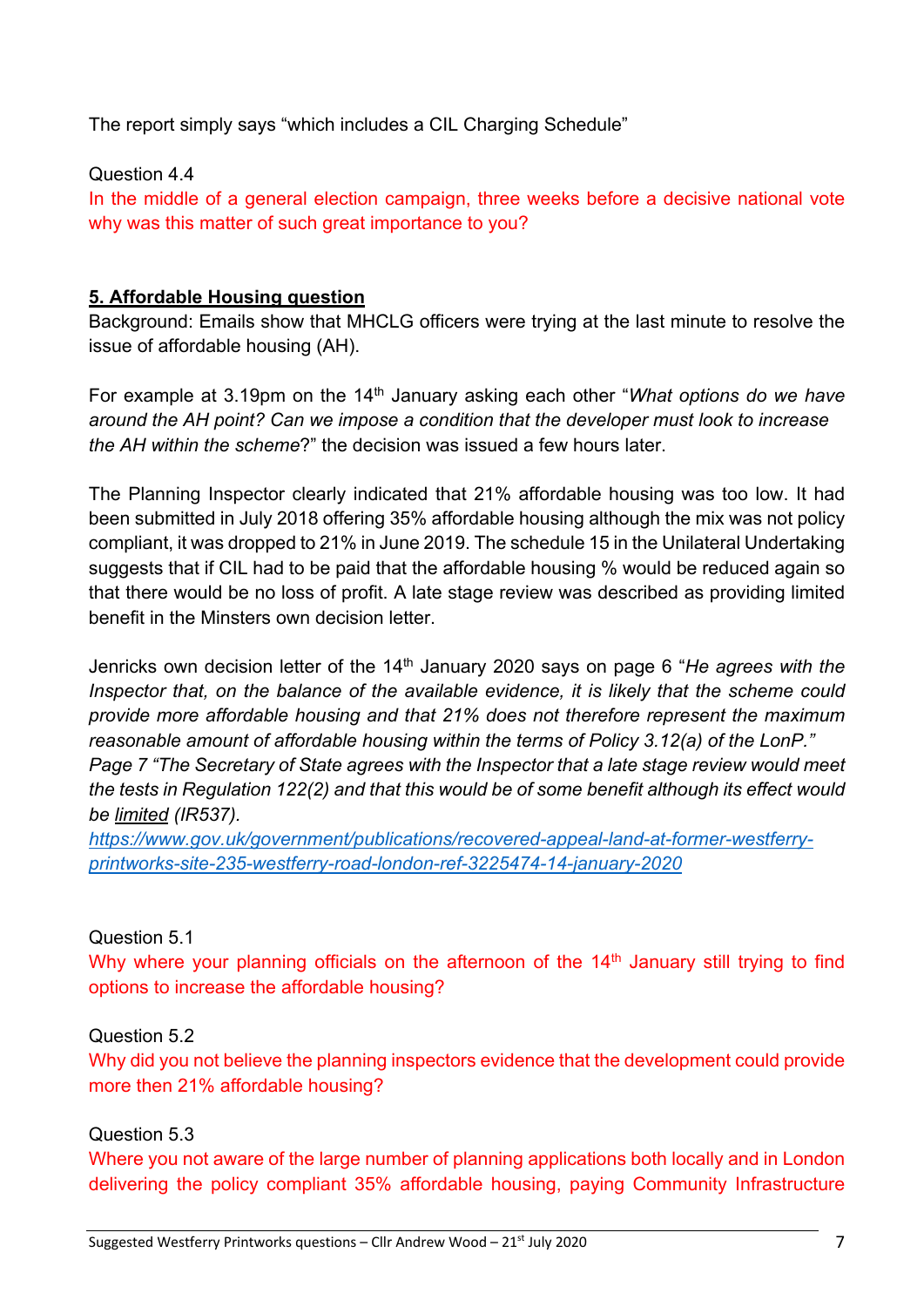The report simply says "which includes a CIL Charging Schedule"

## Question 4.4

In the middle of a general election campaign, three weeks before a decisive national vote why was this matter of such great importance to you?

## **5. Affordable Housing question**

Background: Emails show that MHCLG officers were trying at the last minute to resolve the issue of affordable housing (AH).

For example at 3.19pm on the 14<sup>th</sup> January asking each other "*What options do we have around the AH point? Can we impose a condition that the developer must look to increase the AH within the scheme*?" the decision was issued a few hours later.

The Planning Inspector clearly indicated that 21% affordable housing was too low. It had been submitted in July 2018 offering 35% affordable housing although the mix was not policy compliant, it was dropped to 21% in June 2019. The schedule 15 in the Unilateral Undertaking suggests that if CIL had to be paid that the affordable housing % would be reduced again so that there would be no loss of profit. A late stage review was described as providing limited benefit in the Minsters own decision letter.

Jenricks own decision letter of the 14th January 2020 says on page 6 "*He agrees with the Inspector that, on the balance of the available evidence, it is likely that the scheme could provide more affordable housing and that 21% does not therefore represent the maximum reasonable amount of affordable housing within the terms of Policy 3.12(a) of the LonP." Page 7 "The Secretary of State agrees with the Inspector that a late stage review would meet the tests in Regulation 122(2) and that this would be of some benefit although its effect would be limited (IR537).*

*https://www.gov.uk/government/publications/recovered-appeal-land-at-former-westferryprintworks-site-235-westferry-road-london-ref-3225474-14-january-2020*

# Question 5.1

Why where your planning officials on the afternoon of the  $14<sup>th</sup>$  January still trying to find options to increase the affordable housing?

## Question 5.2

Why did you not believe the planning inspectors evidence that the development could provide more then 21% affordable housing?

## Question 5.3

Where you not aware of the large number of planning applications both locally and in London delivering the policy compliant 35% affordable housing, paying Community Infrastructure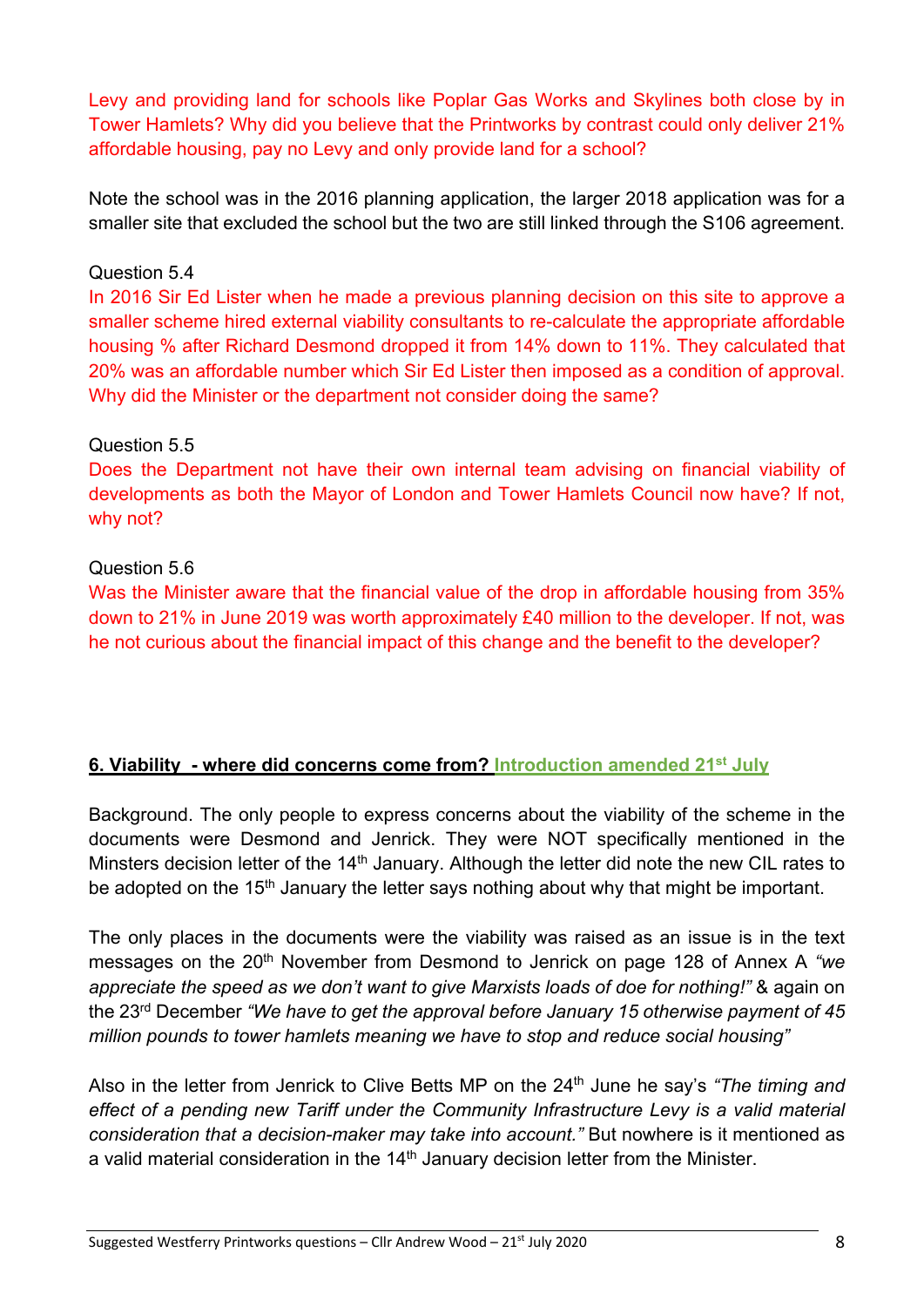Levy and providing land for schools like Poplar Gas Works and Skylines both close by in Tower Hamlets? Why did you believe that the Printworks by contrast could only deliver 21% affordable housing, pay no Levy and only provide land for a school?

Note the school was in the 2016 planning application, the larger 2018 application was for a smaller site that excluded the school but the two are still linked through the S106 agreement.

#### Question 5.4

In 2016 Sir Ed Lister when he made a previous planning decision on this site to approve a smaller scheme hired external viability consultants to re-calculate the appropriate affordable housing % after Richard Desmond dropped it from 14% down to 11%. They calculated that 20% was an affordable number which Sir Ed Lister then imposed as a condition of approval. Why did the Minister or the department not consider doing the same?

#### Question 5.5

Does the Department not have their own internal team advising on financial viability of developments as both the Mayor of London and Tower Hamlets Council now have? If not, why not?

## Question 5.6

Was the Minister aware that the financial value of the drop in affordable housing from 35% down to 21% in June 2019 was worth approximately £40 million to the developer. If not, was he not curious about the financial impact of this change and the benefit to the developer?

## **6. Viability - where did concerns come from? Introduction amended 21st July**

Background. The only people to express concerns about the viability of the scheme in the documents were Desmond and Jenrick. They were NOT specifically mentioned in the Minsters decision letter of the  $14<sup>th</sup>$  January. Although the letter did note the new CIL rates to be adopted on the 15<sup>th</sup> January the letter says nothing about why that might be important.

The only places in the documents were the viability was raised as an issue is in the text messages on the 20<sup>th</sup> November from Desmond to Jenrick on page 128 of Annex A "we *appreciate the speed as we don't want to give Marxists loads of doe for nothing!"* & again on the 23rd December *"We have to get the approval before January 15 otherwise payment of 45 million pounds to tower hamlets meaning we have to stop and reduce social housing"*

Also in the letter from Jenrick to Clive Betts MP on the 24th June he say's *"The timing and effect of a pending new Tariff under the Community Infrastructure Levy is a valid material consideration that a decision-maker may take into account."* But nowhere is it mentioned as a valid material consideration in the 14<sup>th</sup> January decision letter from the Minister.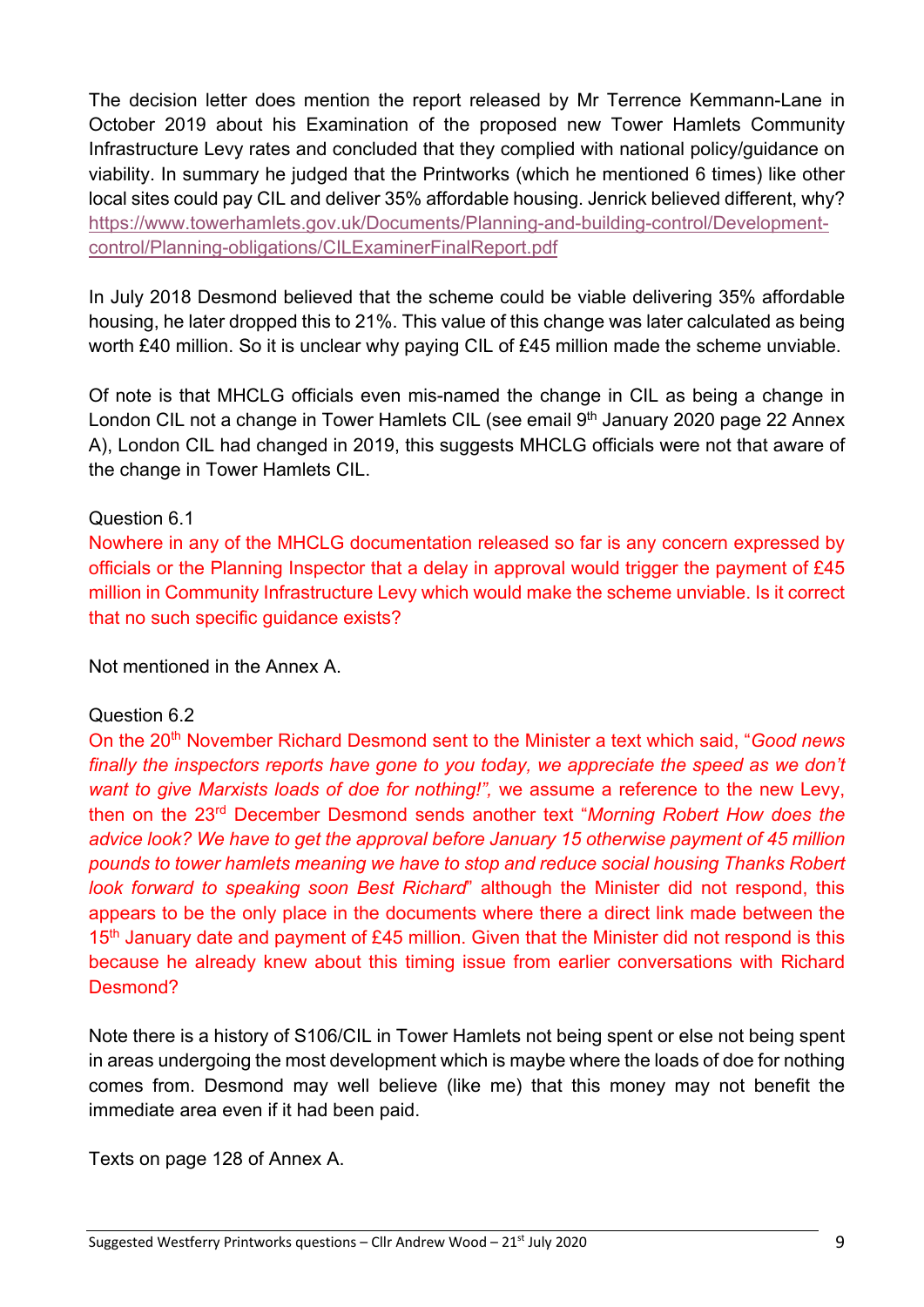The decision letter does mention the report released by Mr Terrence Kemmann-Lane in October 2019 about his Examination of the proposed new Tower Hamlets Community Infrastructure Levy rates and concluded that they complied with national policy/guidance on viability. In summary he judged that the Printworks (which he mentioned 6 times) like other local sites could pay CIL and deliver 35% affordable housing. Jenrick believed different, why? https://www.towerhamlets.gov.uk/Documents/Planning-and-building-control/Developmentcontrol/Planning-obligations/CILExaminerFinalReport.pdf

In July 2018 Desmond believed that the scheme could be viable delivering 35% affordable housing, he later dropped this to 21%. This value of this change was later calculated as being worth £40 million. So it is unclear why paying CIL of £45 million made the scheme unviable.

Of note is that MHCLG officials even mis-named the change in CIL as being a change in London CIL not a change in Tower Hamlets CIL (see email 9<sup>th</sup> January 2020 page 22 Annex A), London CIL had changed in 2019, this suggests MHCLG officials were not that aware of the change in Tower Hamlets CIL.

## Question 6.1

Nowhere in any of the MHCLG documentation released so far is any concern expressed by officials or the Planning Inspector that a delay in approval would trigger the payment of £45 million in Community Infrastructure Levy which would make the scheme unviable. Is it correct that no such specific guidance exists?

Not mentioned in the Annex A.

## Question 6.2

On the 20th November Richard Desmond sent to the Minister a text which said, "*Good news*  finally the inspectors reports have gone to you today, we appreciate the speed as we don't *want to give Marxists loads of doe for nothing!",* we assume a reference to the new Levy, then on the 23rd December Desmond sends another text "*Morning Robert How does the advice look? We have to get the approval before January 15 otherwise payment of 45 million pounds to tower hamlets meaning we have to stop and reduce social housing Thanks Robert look forward to speaking soon Best Richard*" although the Minister did not respond, this appears to be the only place in the documents where there a direct link made between the 15<sup>th</sup> January date and payment of £45 million. Given that the Minister did not respond is this because he already knew about this timing issue from earlier conversations with Richard Desmond?

Note there is a history of S106/CIL in Tower Hamlets not being spent or else not being spent in areas undergoing the most development which is maybe where the loads of doe for nothing comes from. Desmond may well believe (like me) that this money may not benefit the immediate area even if it had been paid.

Texts on page 128 of Annex A.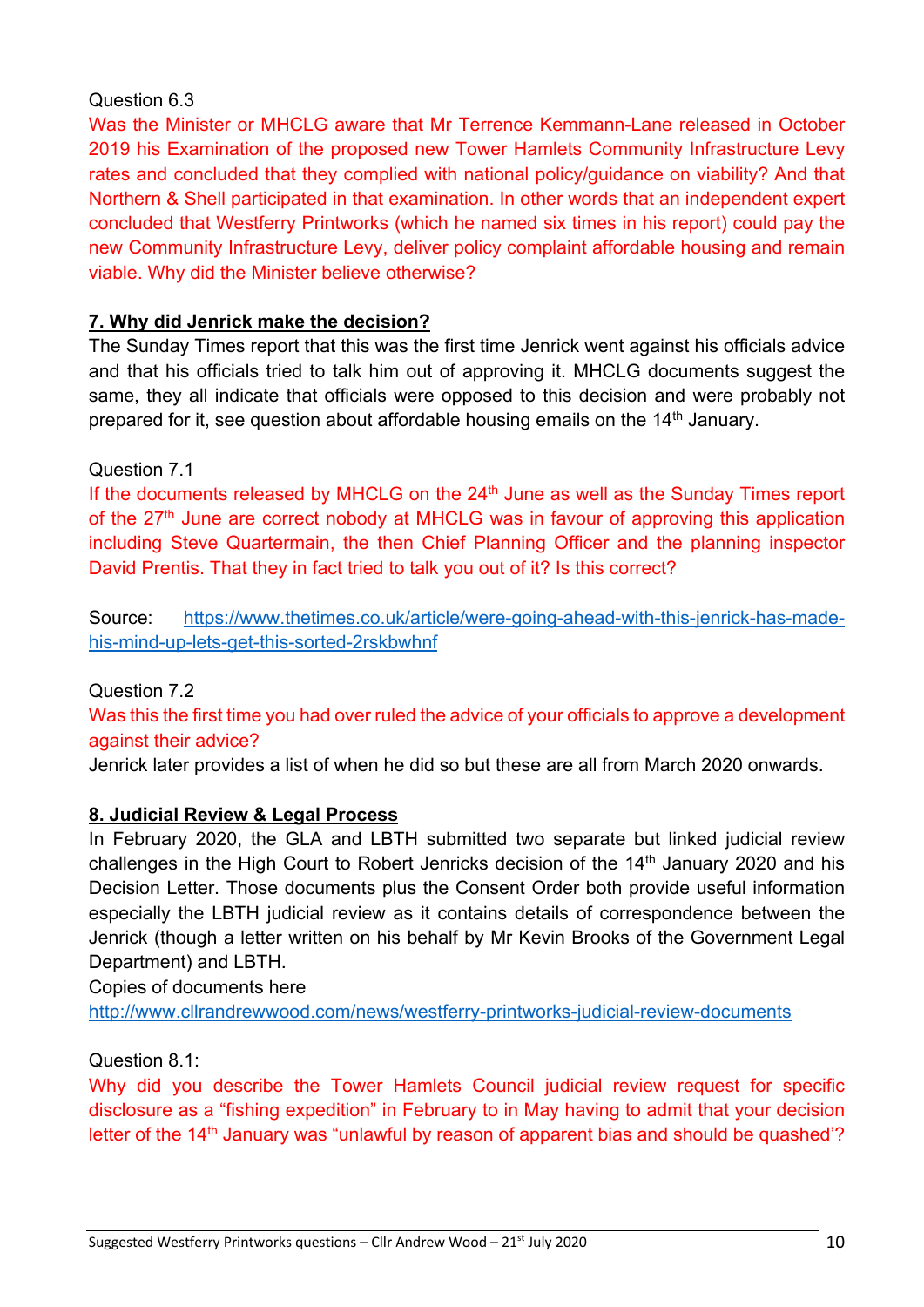## Question 6.3

Was the Minister or MHCLG aware that Mr Terrence Kemmann-Lane released in October 2019 his Examination of the proposed new Tower Hamlets Community Infrastructure Levy rates and concluded that they complied with national policy/guidance on viability? And that Northern & Shell participated in that examination. In other words that an independent expert concluded that Westferry Printworks (which he named six times in his report) could pay the new Community Infrastructure Levy, deliver policy complaint affordable housing and remain viable. Why did the Minister believe otherwise?

## **7. Why did Jenrick make the decision?**

The Sunday Times report that this was the first time Jenrick went against his officials advice and that his officials tried to talk him out of approving it. MHCLG documents suggest the same, they all indicate that officials were opposed to this decision and were probably not prepared for it, see question about affordable housing emails on the 14<sup>th</sup> January.

## Question 7.1

If the documents released by MHCLG on the  $24<sup>th</sup>$  June as well as the Sunday Times report of the 27<sup>th</sup> June are correct nobody at MHCLG was in favour of approving this application including Steve Quartermain, the then Chief Planning Officer and the planning inspector David Prentis. That they in fact tried to talk you out of it? Is this correct?

Source: https://www.thetimes.co.uk/article/were-going-ahead-with-this-jenrick-has-madehis-mind-up-lets-get-this-sorted-2rskbwhnf

# Question 7.2

Was this the first time you had over ruled the advice of your officials to approve a development against their advice?

Jenrick later provides a list of when he did so but these are all from March 2020 onwards.

# **8. Judicial Review & Legal Process**

In February 2020, the GLA and LBTH submitted two separate but linked judicial review challenges in the High Court to Robert Jenricks decision of the 14<sup>th</sup> January 2020 and his Decision Letter. Those documents plus the Consent Order both provide useful information especially the LBTH judicial review as it contains details of correspondence between the Jenrick (though a letter written on his behalf by Mr Kevin Brooks of the Government Legal Department) and LBTH.

Copies of documents here

http://www.cllrandrewwood.com/news/westferry-printworks-judicial-review-documents

Question 8.1:

Why did you describe the Tower Hamlets Council judicial review request for specific disclosure as a "fishing expedition" in February to in May having to admit that your decision letter of the 14<sup>th</sup> January was "unlawful by reason of apparent bias and should be quashed"?